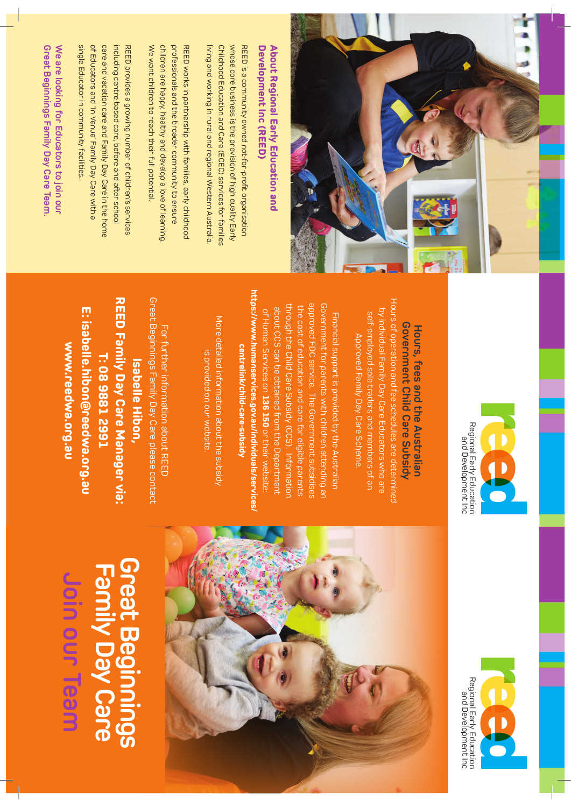| Join our Team                     | www.reedwa.org.au                               | י האים המינות המונים לא המונים לא האים המונים לא האים המונים לא האים המונים לא האים המונים לא האים המונים לא ה<br>האים המונים המונים המונים המונים המונים המונים המונים המונים המונים המונים המונים המונים המונים המונים המונים |
|-----------------------------------|-------------------------------------------------|---------------------------------------------------------------------------------------------------------------------------------------------------------------------------------------------------------------------------------|
|                                   | <u>E: isabelle.hibon@reedwa.org.au</u>          | single Educator in community facilities.<br>of Educators and 'In Venue' Family Day Care with a                                                                                                                                  |
|                                   | T: 089882 2991                                  | care and vacation care and Family Day Care in the home                                                                                                                                                                          |
| Great Beginning<br>Family Day Car | <b>REED Family Day Care Manager via:</b>        | including centre based care, before and after school                                                                                                                                                                            |
|                                   | <b>Isabelle Hibon.</b>                          | REED provides a growing number of children's services                                                                                                                                                                           |
|                                   | Great Beginnings Family Day Care please contact | We want children to reach their full potential.                                                                                                                                                                                 |
|                                   | For thrther information about REED              | children are happy, healthy and develop a love of learning.<br>professionals and the broader community to ensure                                                                                                                |
|                                   |                                                 | RED works in partnership with families, early childhood                                                                                                                                                                         |
|                                   | is provided on our website.                     | living and working in rural and regional Western Australia.                                                                                                                                                                     |
|                                   | More detailed information about the subsidy     | Chidhood Education and Care (ECEC) services for families                                                                                                                                                                        |
|                                   |                                                 | whose core business is the provision of high quality Early                                                                                                                                                                      |
|                                   | centrelink/child-care-subsidy                   | REED is a community owned not-for-profit organisation                                                                                                                                                                           |

**Family Day Care Great Beginnings** 





Hours of operation and fee schedules are determined Hours of operation and fee schedules are determined by individual Family Day Care Educators who are by individual Family Day Care Educators who are self-employed sole traders and members of an self-employed sole traders and members of an Approved Family Day Care Scheme. Approved Family Day Care Scheme.

through the Child Care Subsidy (CCS). Information approved FDC service. The Government subsidises Government for parents with children attending an about CCS can be obtained from the Department the cost of education and care for eligible parents the cost of education and care for eligible parents of Human Services on 136 150 or their website: about CCS can be obtained from the Department of Human Services on Financial support is provided by the Australian Financial support is provided by the Australian **136 150**or their website:

approved FDC service. The Government subsidises through the Child Care Subsidy (CCS). Information Government for parents with children attending an

**https://www.humanservices.gov.au/individuals/services/** ttps://www.humanservices.gov.au/individuals/service



## Development Inc (REED) About Regional Early Education and **Development Inc (REED) About Regional Early Education and**

Great Beginnings Family Day Care Team. We are looking for Educators to join our **Great Beginnings Family Day Care Team. We are looking for Educators to join our**